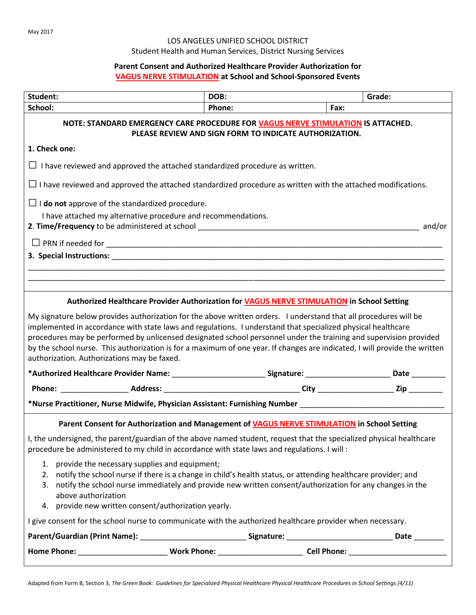### LOS ANGELES UNIFIED SCHOOL DISTRICT

#### Student Health and Human Services, District Nursing Services

# **Parent Consent and Authorized Healthcare Provider Authorization for VAGUS NERVE STIMULATION at School and School-Sponsored Events**

| Student:                                                                                                                                                                                                                                                                                                                                                                                                                                                                                                                           | DOB:                                                        |      | Grade: |  |  |
|------------------------------------------------------------------------------------------------------------------------------------------------------------------------------------------------------------------------------------------------------------------------------------------------------------------------------------------------------------------------------------------------------------------------------------------------------------------------------------------------------------------------------------|-------------------------------------------------------------|------|--------|--|--|
| School:                                                                                                                                                                                                                                                                                                                                                                                                                                                                                                                            | Phone:                                                      | Fax: |        |  |  |
| NOTE: STANDARD EMERGENCY CARE PROCEDURE FOR VAGUS NERVE STIMULATION IS ATTACHED.<br>PLEASE REVIEW AND SIGN FORM TO INDICATE AUTHORIZATION.                                                                                                                                                                                                                                                                                                                                                                                         |                                                             |      |        |  |  |
| 1. Check one:                                                                                                                                                                                                                                                                                                                                                                                                                                                                                                                      |                                                             |      |        |  |  |
| $\Box$ I have reviewed and approved the attached standardized procedure as written.                                                                                                                                                                                                                                                                                                                                                                                                                                                |                                                             |      |        |  |  |
| $\Box$ I have reviewed and approved the attached standardized procedure as written with the attached modifications.                                                                                                                                                                                                                                                                                                                                                                                                                |                                                             |      |        |  |  |
| $\Box$ <b>I do not</b> approve of the standardized procedure.                                                                                                                                                                                                                                                                                                                                                                                                                                                                      |                                                             |      |        |  |  |
| I have attached my alternative procedure and recommendations.                                                                                                                                                                                                                                                                                                                                                                                                                                                                      |                                                             |      |        |  |  |
| 2. Time/Frequency to be administered at school example and and/or and and/or                                                                                                                                                                                                                                                                                                                                                                                                                                                       |                                                             |      |        |  |  |
|                                                                                                                                                                                                                                                                                                                                                                                                                                                                                                                                    |                                                             |      |        |  |  |
|                                                                                                                                                                                                                                                                                                                                                                                                                                                                                                                                    |                                                             |      |        |  |  |
|                                                                                                                                                                                                                                                                                                                                                                                                                                                                                                                                    |                                                             |      |        |  |  |
|                                                                                                                                                                                                                                                                                                                                                                                                                                                                                                                                    |                                                             |      |        |  |  |
| Authorized Healthcare Provider Authorization for VAGUS NERVE STIMULATION in School Setting                                                                                                                                                                                                                                                                                                                                                                                                                                         |                                                             |      |        |  |  |
| My signature below provides authorization for the above written orders. I understand that all procedures will be<br>implemented in accordance with state laws and regulations. I understand that specialized physical healthcare<br>procedures may be performed by unlicensed designated school personnel under the training and supervision provided<br>by the school nurse. This authorization is for a maximum of one year. If changes are indicated, I will provide the written<br>authorization. Authorizations may be faxed. |                                                             |      |        |  |  |
| *Authorized Healthcare Provider Name: ___________________________Signature: _________________________Date __________                                                                                                                                                                                                                                                                                                                                                                                                               |                                                             |      |        |  |  |
|                                                                                                                                                                                                                                                                                                                                                                                                                                                                                                                                    |                                                             |      |        |  |  |
| *Nurse Practitioner, Nurse Midwife, Physician Assistant: Furnishing Number ___________________________________                                                                                                                                                                                                                                                                                                                                                                                                                     |                                                             |      |        |  |  |
| Parent Consent for Authorization and Management of VAGUS NERVE STIMULATION in School Setting                                                                                                                                                                                                                                                                                                                                                                                                                                       |                                                             |      |        |  |  |
| I, the undersigned, the parent/guardian of the above named student, request that the specialized physical healthcare<br>procedure be administered to my child in accordance with state laws and regulations. I will :                                                                                                                                                                                                                                                                                                              |                                                             |      |        |  |  |
| 1. provide the necessary supplies and equipment;<br>2. notify the school nurse if there is a change in child's health status, or attending healthcare provider; and<br>3. notify the school nurse immediately and provide new written consent/authorization for any changes in the<br>above authorization<br>4. provide new written consent/authorization yearly.                                                                                                                                                                  |                                                             |      |        |  |  |
| I give consent for the school nurse to communicate with the authorized healthcare provider when necessary.                                                                                                                                                                                                                                                                                                                                                                                                                         |                                                             |      |        |  |  |
|                                                                                                                                                                                                                                                                                                                                                                                                                                                                                                                                    |                                                             |      |        |  |  |
|                                                                                                                                                                                                                                                                                                                                                                                                                                                                                                                                    | <u> 1989 - Johann Stoff, amerikansk politiker (d. 1989)</u> |      |        |  |  |